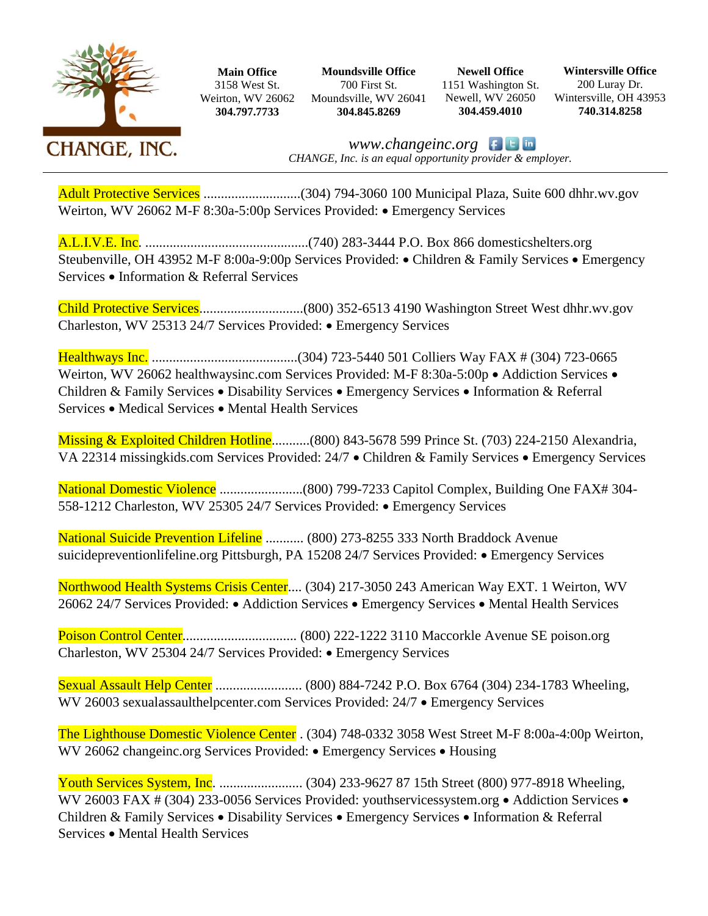

**Main Office** 3158 West St. Weirton, WV 26062 **304.797.7733**

**Moundsville Office** 700 First St. Moundsville, WV 26041 **304.845.8269**

**Newell Office** 1151 Washington St. Newell, WV 26050 **304.459.4010**

**Wintersville Office** 200 Luray Dr. Wintersville, OH 43953 **740.314.8258**

*www.changeinc.org CHANGE, Inc. is an equal opportunity provider & employer.*

Adult Protective Services ............................(304) 794-3060 100 Municipal Plaza, Suite 600 dhhr.wv.gov Weirton, WV 26062 M-F 8:30a-5:00p Services Provided: • Emergency Services

A.L.I.V.E. Inc. ...............................................(740) 283-3444 P.O. Box 866 domesticshelters.org Steubenville, OH 43952 M-F 8:00a-9:00p Services Provided: • Children & Family Services • Emergency Services • Information & Referral Services

Child Protective Services..............................(800) 352-6513 4190 Washington Street West dhhr.wv.gov Charleston, WV 25313 24/7 Services Provided: • Emergency Services

Healthways Inc. ..........................................(304) 723-5440 501 Colliers Way FAX # (304) 723-0665 Weirton, WV 26062 healthwaysinc.com Services Provided: M-F 8:30a-5:00p • Addiction Services • Children & Family Services • Disability Services • Emergency Services • Information & Referral Services • Medical Services • Mental Health Services

Missing & Exploited Children Hotline..........(800) 843-5678 599 Prince St. (703) 224-2150 Alexandria, VA 22314 missingkids.com Services Provided: 24/7 • Children & Family Services • Emergency Services

National Domestic Violence ........................(800) 799-7233 Capitol Complex, Building One FAX# 304- 558-1212 Charleston, WV 25305 24/7 Services Provided: • Emergency Services

National Suicide Prevention Lifeline ........... (800) 273-8255 333 North Braddock Avenue suicidepreventionlifeline.org Pittsburgh, PA 15208 24/7 Services Provided: • Emergency Services

Northwood Health Systems Crisis Center.... (304) 217-3050 243 American Way EXT. 1 Weirton, WV 26062 24/7 Services Provided: • Addiction Services • Emergency Services • Mental Health Services

Poison Control Center................................. (800) 222-1222 3110 Maccorkle Avenue SE poison.org Charleston, WV 25304 24/7 Services Provided: • Emergency Services

Sexual Assault Help Center ......................... (800) 884-7242 P.O. Box 6764 (304) 234-1783 Wheeling, WV 26003 sexualassaulthelpcenter.com Services Provided: 24/7 • Emergency Services

The Lighthouse Domestic Violence Center . (304) 748-0332 3058 West Street M-F 8:00a-4:00p Weirton, WV 26062 changeinc.org Services Provided: • Emergency Services • Housing

Youth Services System, Inc. ........................ (304) 233-9627 87 15th Street (800) 977-8918 Wheeling, WV 26003 FAX # (304) 233-0056 Services Provided: youthservicessystem.org • Addiction Services • Children & Family Services • Disability Services • Emergency Services • Information & Referral Services • Mental Health Services